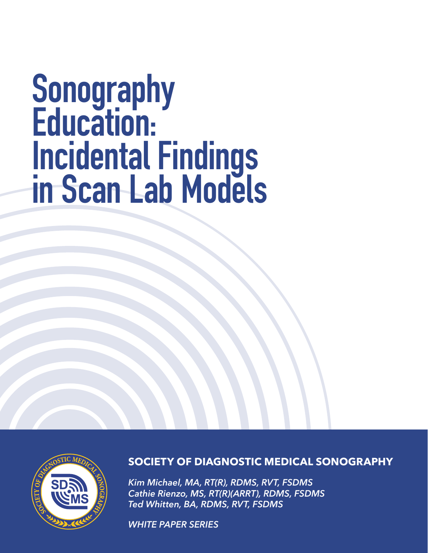# **Sonography Education: Incidental Findings in Scan Lab Models**



# **SOCIETY OF DIAGNOSTIC MEDICAL SONOGRAPHY**

*Kim Michael, MA, RT(R), RDMS, RVT, FSDMS Cathie Rienzo, MS, RT(R)(ARRT), RDMS, FSDMS Ted Whitten, BA, RDMS, RVT, FSDMS*

*WHITE PAPER SERIES*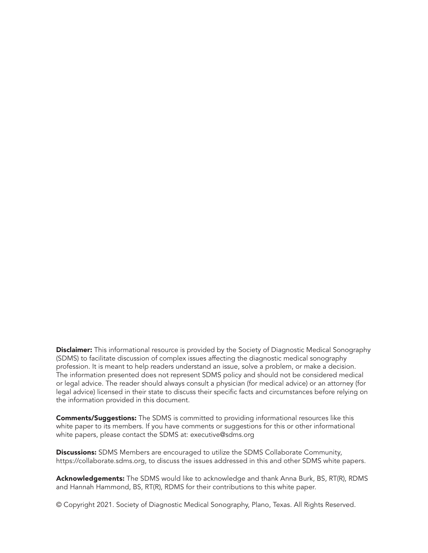**Disclaimer:** This informational resource is provided by the Society of Diagnostic Medical Sonography (SDMS) to facilitate discussion of complex issues affecting the diagnostic medical sonography profession. It is meant to help readers understand an issue, solve a problem, or make a decision. The information presented does not represent SDMS policy and should not be considered medical or legal advice. The reader should always consult a physician (for medical advice) or an attorney (for legal advice) licensed in their state to discuss their specific facts and circumstances before relying on the information provided in this document.

Comments/Suggestions: The SDMS is committed to providing informational resources like this white paper to its members. If you have comments or suggestions for this or other informational white papers, please contact the SDMS at: executive@sdms.org

Discussions: SDMS Members are encouraged to utilize the SDMS Collaborate Community, https://collaborate.sdms.org, to discuss the issues addressed in this and other SDMS white papers.

Acknowledgements: The SDMS would like to acknowledge and thank Anna Burk, BS, RT(R), RDMS and Hannah Hammond, BS, RT(R), RDMS for their contributions to this white paper.

© Copyright 2021. Society of Diagnostic Medical Sonography, Plano, Texas. All Rights Reserved.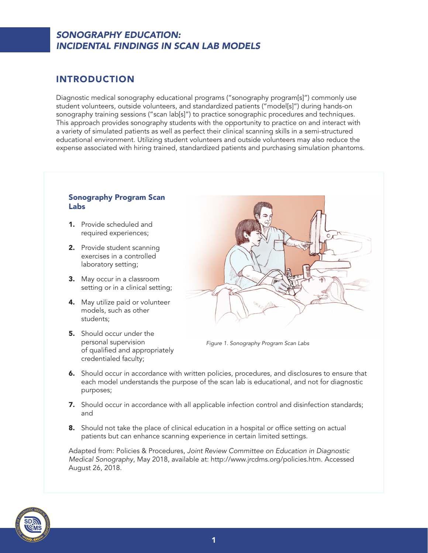# INTRODUCTION

Diagnostic medical sonography educational programs ("sonography program[s]") commonly use student volunteers, outside volunteers, and standardized patients ("model[s]") during hands-on sonography training sessions ("scan lab[s]") to practice sonographic procedures and techniques. This approach provides sonography students with the opportunity to practice on and interact with a variety of simulated patients as well as perfect their clinical scanning skills in a semi-structured educational environment. Utilizing student volunteers and outside volunteers may also reduce the expense associated with hiring trained, standardized patients and purchasing simulation phantoms.

#### Sonography Program Scan Labs

- 1. Provide scheduled and required experiences;
- 2. Provide student scanning exercises in a controlled laboratory setting;
- **3.** May occur in a classroom setting or in a clinical setting;
- **4.** May utilize paid or volunteer models, such as other students;
- **5.** Should occur under the personal supervision of qualified and appropriately credentialed faculty;



*Figure 1. Sonography Program Scan Labs*

- 6. Should occur in accordance with written policies, procedures, and disclosures to ensure that each model understands the purpose of the scan lab is educational, and not for diagnostic purposes;
- **7.** Should occur in accordance with all applicable infection control and disinfection standards; and
- 8. Should not take the place of clinical education in a hospital or office setting on actual patients but can enhance scanning experience in certain limited settings.

Adapted from: Policies & Procedures, *Joint Review Committee on Education in Diagnostic Medical Sonography*, May 2018, available at: http://www.jrcdms.org/policies.htm. Accessed August 26, 2018.

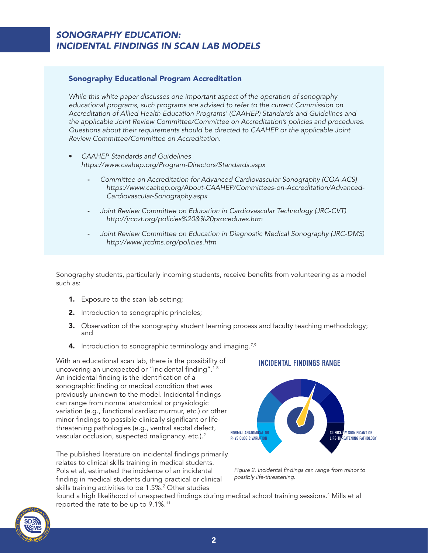#### Sonography Educational Program Accreditation

*While this white paper discusses one important aspect of the operation of sonography*  educational programs, such programs are advised to refer to the current Commission on *Accreditation of Allied Health Education Programs' (CAAHEP) Standards and Guidelines and the applicable Joint Review Committee/Committee on Accreditation's policies and procedures. Questions about their requirements should be directed to CAAHEP or the applicable Joint Review Committee/Committee on Accreditation.*

- *CAAHEP Standards and Guidelines https://www.caahep.org/Program-Directors/Standards.aspx*
	- *Committee on Accreditation for Advanced Cardiovascular Sonography (COA-ACS) https://www.caahep.org/About-CAAHEP/Committees-on-Accreditation/Advanced-Cardiovascular-Sonography.aspx*
	- *Joint Review Committee on Education in Cardiovascular Technology (JRC-CVT) http://jrccvt.org/policies%20&%20procedures.htm*
	- *Joint Review Committee on Education in Diagnostic Medical Sonography (JRC-DMS) http://www.jrcdms.org/policies.htm*

Sonography students, particularly incoming students, receive benefits from volunteering as a model such as:

- 1. Exposure to the scan lab setting;
- 2. Introduction to sonographic principles;
- **3.** Observation of the sonography student learning process and faculty teaching methodology; and
- 4. Introduction to sonographic terminology and imaging.<sup>7,9</sup>

With an educational scan lab, there is the possibility of uncovering an unexpected or "incidental finding".1-8 An incidental finding is the identification of a sonographic finding or medical condition that was previously unknown to the model. Incidental findings can range from normal anatomical or physiologic variation (e.g., functional cardiac murmur, etc.) or other minor findings to possible clinically significant or lifethreatening pathologies (e.g., ventral septal defect, vascular occlusion, suspected malignancy. etc.).2

The published literature on incidental findings primarily relates to clinical skills training in medical students. Pols et al, estimated the incidence of an incidental finding in medical students during practical or clinical skills training activities to be 1.5%.<sup>2</sup> Other studies

#### INCIDENTAL FINDINGS RANGE



*Figure 2. Incidental findings can range from minor to possibly life-threatening.*

found a high likelihood of unexpected findings during medical school training sessions.<sup>4</sup> Mills et al reported the rate to be up to 9.1%.11

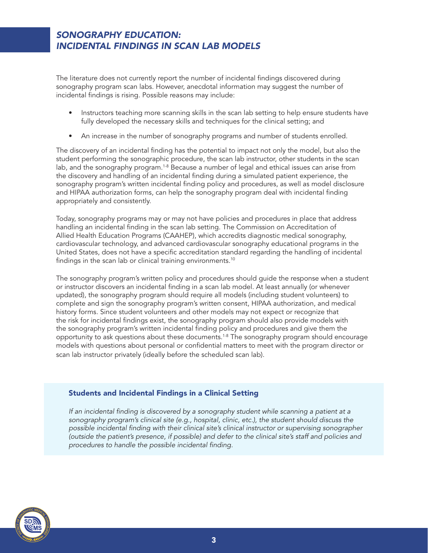The literature does not currently report the number of incidental findings discovered during sonography program scan labs. However, anecdotal information may suggest the number of incidental findings is rising. Possible reasons may include:

- Instructors teaching more scanning skills in the scan lab setting to help ensure students have fully developed the necessary skills and techniques for the clinical setting; and
- An increase in the number of sonography programs and number of students enrolled.

The discovery of an incidental finding has the potential to impact not only the model, but also the student performing the sonographic procedure, the scan lab instructor, other students in the scan lab, and the sonography program.<sup>1-8</sup> Because a number of legal and ethical issues can arise from the discovery and handling of an incidental finding during a simulated patient experience, the sonography program's written incidental finding policy and procedures, as well as model disclosure and HIPAA authorization forms, can help the sonography program deal with incidental finding appropriately and consistently.

Today, sonography programs may or may not have policies and procedures in place that address handling an incidental finding in the scan lab setting. The Commission on Accreditation of Allied Health Education Programs (CAAHEP), which accredits diagnostic medical sonography, cardiovascular technology, and advanced cardiovascular sonography educational programs in the United States, does not have a specific accreditation standard regarding the handling of incidental findings in the scan lab or clinical training environments.<sup>10</sup>

The sonography program's written policy and procedures should guide the response when a student or instructor discovers an incidental finding in a scan lab model. At least annually (or whenever updated), the sonography program should require all models (including student volunteers) to complete and sign the sonography program's written consent, HIPAA authorization, and medical history forms. Since student volunteers and other models may not expect or recognize that the risk for incidental findings exist, the sonography program should also provide models with the sonography program's written incidental finding policy and procedures and give them the opportunity to ask questions about these documents.<sup>1-8</sup> The sonography program should encourage models with questions about personal or confidential matters to meet with the program director or scan lab instructor privately (ideally before the scheduled scan lab).

#### Students and Incidental Findings in a Clinical Setting

*If an incidental finding is discovered by a sonography student while scanning a patient at a sonography program's clinical site (e.g., hospital, clinic, etc.), the student should discuss the possible incidental finding with their clinical site's clinical instructor or supervising sonographer (outside the patient's presence, if possible) and defer to the clinical site's staff and policies and procedures to handle the possible incidental finding.*

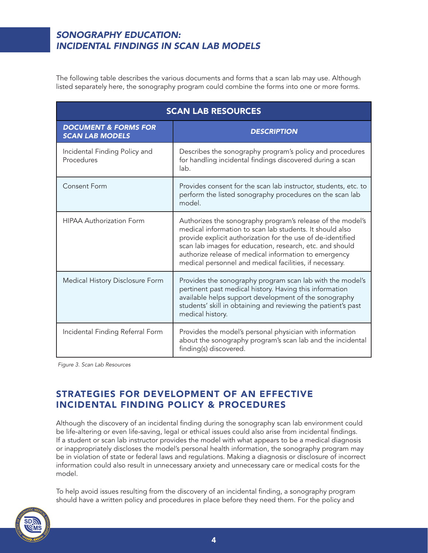The following table describes the various documents and forms that a scan lab may use. Although listed separately here, the sonography program could combine the forms into one or more forms.

| <b>SCAN LAB RESOURCES</b>                                 |                                                                                                                                                                                                                                                                                                                                                                       |
|-----------------------------------------------------------|-----------------------------------------------------------------------------------------------------------------------------------------------------------------------------------------------------------------------------------------------------------------------------------------------------------------------------------------------------------------------|
| <b>DOCUMENT &amp; FORMS FOR</b><br><b>SCAN LAB MODELS</b> | <b>DESCRIPTION</b>                                                                                                                                                                                                                                                                                                                                                    |
| Incidental Finding Policy and<br>Procedures               | Describes the sonography program's policy and procedures<br>for handling incidental findings discovered during a scan<br>lab.                                                                                                                                                                                                                                         |
| <b>Consent Form</b>                                       | Provides consent for the scan lab instructor, students, etc. to<br>perform the listed sonography procedures on the scan lab<br>model.                                                                                                                                                                                                                                 |
| <b>HIPAA Authorization Form</b>                           | Authorizes the sonography program's release of the model's<br>medical information to scan lab students. It should also<br>provide explicit authorization for the use of de-identified<br>scan lab images for education, research, etc. and should<br>authorize release of medical information to emergency<br>medical personnel and medical facilities, if necessary. |
| Medical History Disclosure Form                           | Provides the sonography program scan lab with the model's<br>pertinent past medical history. Having this information<br>available helps support development of the sonography<br>students' skill in obtaining and reviewing the patient's past<br>medical history.                                                                                                    |
| Incidental Finding Referral Form                          | Provides the model's personal physician with information<br>about the sonography program's scan lab and the incidental<br>finding(s) discovered.                                                                                                                                                                                                                      |

*Figure 3. Scan Lab Resources*

## STRATEGIES FOR DEVELOPMENT OF AN EFFECTIVE INCIDENTAL FINDING POLICY & PROCEDURES

Although the discovery of an incidental finding during the sonography scan lab environment could be life-altering or even life-saving, legal or ethical issues could also arise from incidental findings. If a student or scan lab instructor provides the model with what appears to be a medical diagnosis or inappropriately discloses the model's personal health information, the sonography program may be in violation of state or federal laws and regulations. Making a diagnosis or disclosure of incorrect information could also result in unnecessary anxiety and unnecessary care or medical costs for the model.

To help avoid issues resulting from the discovery of an incidental finding, a sonography program should have a written policy and procedures in place before they need them. For the policy and

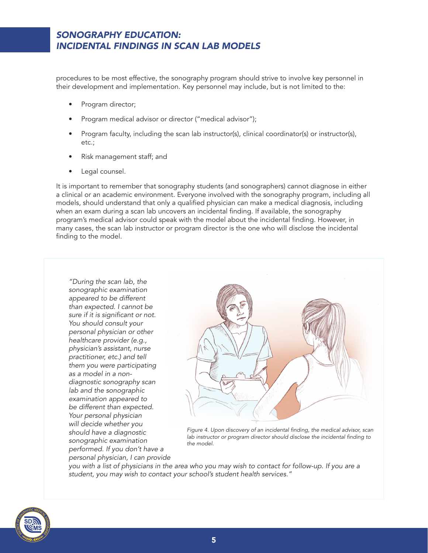procedures to be most effective, the sonography program should strive to involve key personnel in their development and implementation. Key personnel may include, but is not limited to the:

- Program director;
- Program medical advisor or director ("medical advisor");
- Program faculty, including the scan lab instructor(s), clinical coordinator(s) or instructor(s), etc.;
- Risk management staff; and
- Legal counsel.

It is important to remember that sonography students (and sonographers) cannot diagnose in either a clinical or an academic environment. Everyone involved with the sonography program, including all models, should understand that only a qualified physician can make a medical diagnosis, including when an exam during a scan lab uncovers an incidental finding. If available, the sonography program's medical advisor could speak with the model about the incidental finding. However, in many cases, the scan lab instructor or program director is the one who will disclose the incidental finding to the model.

*"During the scan lab, the sonographic examination appeared to be different than expected. I cannot be sure if it is significant or not. You should consult your personal physician or other healthcare provider (e.g., physician's assistant, nurse practitioner, etc.) and tell them you were participating as a model in a nondiagnostic sonography scan lab and the sonographic examination appeared to be different than expected. Your personal physician will decide whether you should have a diagnostic sonographic examination performed. If you don't have a personal physician, I can provide* 



*Figure 4. Upon discovery of an incidental finding, the medical advisor, scan lab instructor or program director should disclose the incidental finding to the model.*

*you with a list of physicians in the area who you may wish to contact for follow-up. If you are a student, you may wish to contact your school's student health services."*

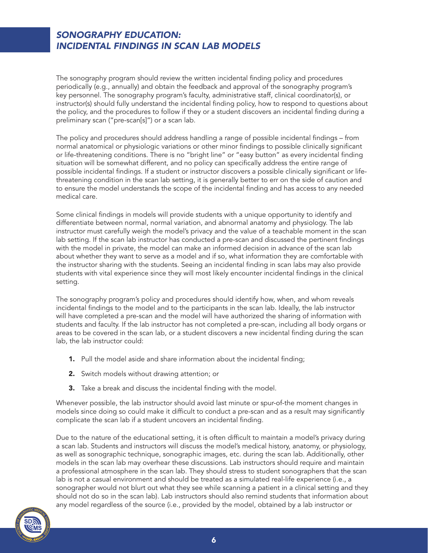The sonography program should review the written incidental finding policy and procedures periodically (e.g., annually) and obtain the feedback and approval of the sonography program's key personnel. The sonography program's faculty, administrative staff, clinical coordinator(s), or instructor(s) should fully understand the incidental finding policy, how to respond to questions about the policy, and the procedures to follow if they or a student discovers an incidental finding during a preliminary scan ("pre-scan[s]") or a scan lab.

The policy and procedures should address handling a range of possible incidental findings – from normal anatomical or physiologic variations or other minor findings to possible clinically significant or life-threatening conditions. There is no "bright line" or "easy button" as every incidental finding situation will be somewhat different, and no policy can specifically address the entire range of possible incidental findings. If a student or instructor discovers a possible clinically significant or lifethreatening condition in the scan lab setting, it is generally better to err on the side of caution and to ensure the model understands the scope of the incidental finding and has access to any needed medical care.

Some clinical findings in models will provide students with a unique opportunity to identify and differentiate between normal, normal variation, and abnormal anatomy and physiology. The lab instructor must carefully weigh the model's privacy and the value of a teachable moment in the scan lab setting. If the scan lab instructor has conducted a pre-scan and discussed the pertinent findings with the model in private, the model can make an informed decision in advance of the scan lab about whether they want to serve as a model and if so, what information they are comfortable with the instructor sharing with the students. Seeing an incidental finding in scan labs may also provide students with vital experience since they will most likely encounter incidental findings in the clinical setting.

The sonography program's policy and procedures should identify how, when, and whom reveals incidental findings to the model and to the participants in the scan lab. Ideally, the lab instructor will have completed a pre-scan and the model will have authorized the sharing of information with students and faculty. If the lab instructor has not completed a pre-scan, including all body organs or areas to be covered in the scan lab, or a student discovers a new incidental finding during the scan lab, the lab instructor could:

- 1. Pull the model aside and share information about the incidental finding;
- 2. Switch models without drawing attention; or
- 3. Take a break and discuss the incidental finding with the model.

Whenever possible, the lab instructor should avoid last minute or spur-of-the moment changes in models since doing so could make it difficult to conduct a pre-scan and as a result may significantly complicate the scan lab if a student uncovers an incidental finding.

Due to the nature of the educational setting, it is often difficult to maintain a model's privacy during a scan lab. Students and instructors will discuss the model's medical history, anatomy, or physiology, as well as sonographic technique, sonographic images, etc. during the scan lab. Additionally, other models in the scan lab may overhear these discussions. Lab instructors should require and maintain a professional atmosphere in the scan lab. They should stress to student sonographers that the scan lab is not a casual environment and should be treated as a simulated real-life experience (i.e., a sonographer would not blurt out what they see while scanning a patient in a clinical setting and they should not do so in the scan lab). Lab instructors should also remind students that information about any model regardless of the source (i.e., provided by the model, obtained by a lab instructor or

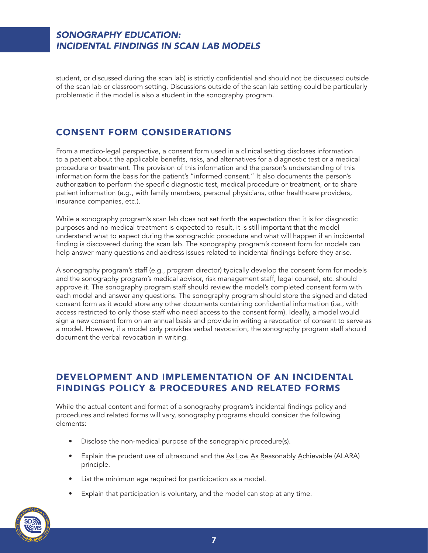student, or discussed during the scan lab) is strictly confidential and should not be discussed outside of the scan lab or classroom setting. Discussions outside of the scan lab setting could be particularly problematic if the model is also a student in the sonography program.

# CONSENT FORM CONSIDERATIONS

From a medico-legal perspective, a consent form used in a clinical setting discloses information to a patient about the applicable benefits, risks, and alternatives for a diagnostic test or a medical procedure or treatment. The provision of this information and the person's understanding of this information form the basis for the patient's "informed consent." It also documents the person's authorization to perform the specific diagnostic test, medical procedure or treatment, or to share patient information (e.g., with family members, personal physicians, other healthcare providers, insurance companies, etc.).

While a sonography program's scan lab does not set forth the expectation that it is for diagnostic purposes and no medical treatment is expected to result, it is still important that the model understand what to expect during the sonographic procedure and what will happen if an incidental finding is discovered during the scan lab. The sonography program's consent form for models can help answer many questions and address issues related to incidental findings before they arise.

A sonography program's staff (e.g., program director) typically develop the consent form for models and the sonography program's medical advisor, risk management staff, legal counsel, etc. should approve it. The sonography program staff should review the model's completed consent form with each model and answer any questions. The sonography program should store the signed and dated consent form as it would store any other documents containing confidential information (i.e., with access restricted to only those staff who need access to the consent form). Ideally, a model would sign a new consent form on an annual basis and provide in writing a revocation of consent to serve as a model. However, if a model only provides verbal revocation, the sonography program staff should document the verbal revocation in writing.

## DEVELOPMENT AND IMPLEMENTATION OF AN INCIDENTAL FINDINGS POLICY & PROCEDURES AND RELATED FORMS

While the actual content and format of a sonography program's incidental findings policy and procedures and related forms will vary, sonography programs should consider the following elements:

- Disclose the non-medical purpose of the sonographic procedure(s).
- Explain the prudent use of ultrasound and the As Low As Reasonably Achievable (ALARA) principle.
- List the minimum age required for participation as a model.
- Explain that participation is voluntary, and the model can stop at any time.

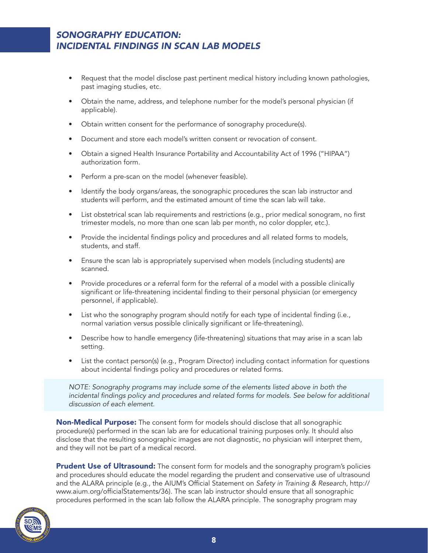- Request that the model disclose past pertinent medical history including known pathologies, past imaging studies, etc.
- Obtain the name, address, and telephone number for the model's personal physician (if applicable).
- Obtain written consent for the performance of sonography procedure(s).
- Document and store each model's written consent or revocation of consent.
- Obtain a signed Health Insurance Portability and Accountability Act of 1996 ("HIPAA") authorization form.
- Perform a pre-scan on the model (whenever feasible).
- Identify the body organs/areas, the sonographic procedures the scan lab instructor and students will perform, and the estimated amount of time the scan lab will take.
- List obstetrical scan lab requirements and restrictions (e.g., prior medical sonogram, no first trimester models, no more than one scan lab per month, no color doppler, etc.).
- Provide the incidental findings policy and procedures and all related forms to models, students, and staff.
- Ensure the scan lab is appropriately supervised when models (including students) are scanned.
- Provide procedures or a referral form for the referral of a model with a possible clinically significant or life-threatening incidental finding to their personal physician (or emergency personnel, if applicable).
- List who the sonography program should notify for each type of incidental finding (i.e., normal variation versus possible clinically significant or life-threatening).
- Describe how to handle emergency (life-threatening) situations that may arise in a scan lab setting.
- List the contact person(s) (e.g., Program Director) including contact information for questions about incidental findings policy and procedures or related forms.

*NOTE: Sonography programs may include some of the elements listed above in both the*  incidental findings policy and procedures and related forms for models. See below for additional *discussion of each element.*

Non-Medical Purpose: The consent form for models should disclose that all sonographic procedure(s) performed in the scan lab are for educational training purposes only. It should also disclose that the resulting sonographic images are not diagnostic, no physician will interpret them, and they will not be part of a medical record.

**Prudent Use of Ultrasound:** The consent form for models and the sonography program's policies and procedures should educate the model regarding the prudent and conservative use of ultrasound and the ALARA principle (e.g., the AIUM's Official Statement on *Safety in Training & Research*, http:// www.aium.org/officialStatements/36). The scan lab instructor should ensure that all sonographic procedures performed in the scan lab follow the ALARA principle. The sonography program may

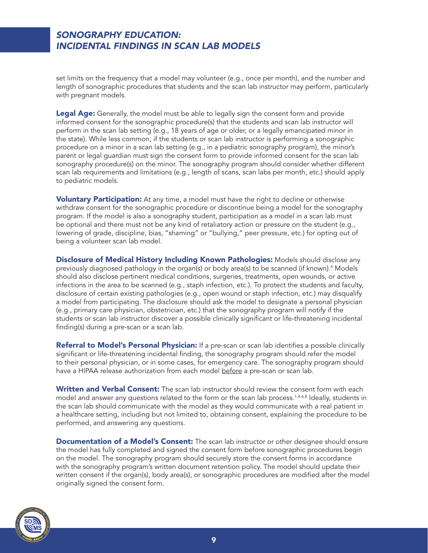set limits on the frequency that a model may volunteer (e.g., once per month), and the number and length of sonographic procedures that students and the scan lab instructor may perform, particularly with pregnant models.

**Legal Age:** Generally, the model must be able to legally sign the consent form and provide informed consent for the sonographic procedure(s) that the students and scan lab instructor will perform in the scan lab setting (e.g., 18 years of age or older, or a legally emancipated minor in the state). While less common, if the students or scan lab instructor is performing a sonographic procedure on a minor in a scan lab setting (e.g., in a pediatric sonography program), the minor's parent or legal guardian must sign the consent form to provide informed consent for the scan lab sonography procedure(s) on the minor. The sonography program should consider whether different scan lab requirements and limitations (e.g., length of scans, scan labs per month, etc.) should apply to pediatric models.

**Voluntary Participation:** At any time, a model must have the right to decline or otherwise withdraw consent for the sonographic procedure or discontinue being a model for the sonography program. If the model is also a sonography student, participation as a model in a scan lab must be optional and there must not be any kind of retaliatory action or pressure on the student (e.g., lowering of grade, discipline, bias, "shaming" or "bullying," peer pressure, etc.) for opting out of being a volunteer scan lab model.

Disclosure of Medical History Including Known Pathologies: Models should disclose any previously diagnosed pathology in the organ(s) or body area(s) to be scanned (if known).<sup>4</sup> Models should also disclose pertinent medical conditions, surgeries, treatments, open wounds, or active infections in the area to be scanned (e.g., staph infection, etc.). To protect the students and faculty, disclosure of certain existing pathologies (e.g., open wound or staph infection, etc.) may disqualify a model from participating. The disclosure should ask the model to designate a personal physician (e.g., primary care physician, obstetrician, etc.) that the sonography program will notify if the students or scan lab instructor discover a possible clinically significant or life-threatening incidental finding(s) during a pre-scan or a scan lab.

Referral to Model's Personal Physician: If a pre-scan or scan lab identifies a possible clinically significant or life-threatening incidental finding, the sonography program should refer the model to their personal physician, or in some cases, for emergency care. The sonography program should have a HIPAA release authorization from each model before a pre-scan or scan lab.

**Written and Verbal Consent:** The scan lab instructor should review the consent form with each model and answer any questions related to the form or the scan lab process.<sup>1,4-6,8</sup> Ideally, students in the scan lab should communicate with the model as they would communicate with a real patient in a healthcare setting, including but not limited to, obtaining consent, explaining the procedure to be performed, and answering any questions.

Documentation of a Model's Consent: The scan lab instructor or other designee should ensure the model has fully completed and signed the consent form before sonographic procedures begin on the model. The sonography program should securely store the consent forms in accordance with the sonography program's written document retention policy. The model should update their written consent if the organ(s), body area(s), or sonographic procedures are modified after the model originally signed the consent form.

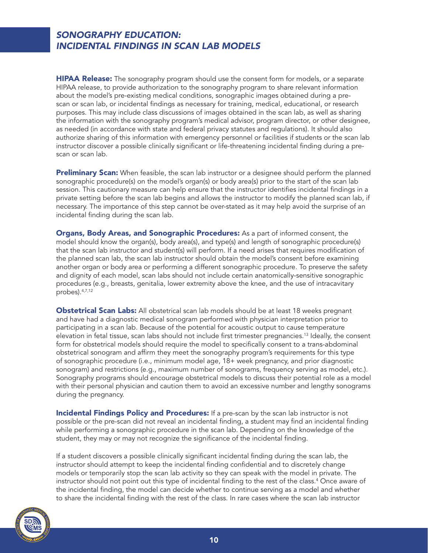**HIPAA Release:** The sonography program should use the consent form for models, or a separate HIPAA release, to provide authorization to the sonography program to share relevant information about the model's pre-existing medical conditions, sonographic images obtained during a prescan or scan lab, or incidental findings as necessary for training, medical, educational, or research purposes. This may include class discussions of images obtained in the scan lab, as well as sharing the information with the sonography program's medical advisor, program director, or other designee, as needed (in accordance with state and federal privacy statutes and regulations). It should also authorize sharing of this information with emergency personnel or facilities if students or the scan lab instructor discover a possible clinically significant or life-threatening incidental finding during a prescan or scan lab.

**Preliminary Scan:** When feasible, the scan lab instructor or a designee should perform the planned sonographic procedure(s) on the model's organ(s) or body area(s) prior to the start of the scan lab session. This cautionary measure can help ensure that the instructor identifies incidental findings in a private setting before the scan lab begins and allows the instructor to modify the planned scan lab, if necessary. The importance of this step cannot be over-stated as it may help avoid the surprise of an incidental finding during the scan lab.

Organs, Body Areas, and Sonographic Procedures: As a part of informed consent, the model should know the organ(s), body area(s), and type(s) and length of sonographic procedure(s) that the scan lab instructor and student(s) will perform. If a need arises that requires modification of the planned scan lab, the scan lab instructor should obtain the model's consent before examining another organ or body area or performing a different sonographic procedure. To preserve the safety and dignity of each model, scan labs should not include certain anatomically-sensitive sonographic procedures (e.g., breasts, genitalia, lower extremity above the knee, and the use of intracavitary probes).4,7,12

**Obstetrical Scan Labs:** All obstetrical scan lab models should be at least 18 weeks pregnant and have had a diagnostic medical sonogram performed with physician interpretation prior to participating in a scan lab. Because of the potential for acoustic output to cause temperature elevation in fetal tissue, scan labs should not include first trimester pregnancies.13 Ideally, the consent form for obstetrical models should require the model to specifically consent to a trans-abdominal obstetrical sonogram and affirm they meet the sonography program's requirements for this type of sonographic procedure (i.e., minimum model age, 18+ week pregnancy, and prior diagnostic sonogram) and restrictions (e.g., maximum number of sonograms, frequency serving as model, etc.). Sonography programs should encourage obstetrical models to discuss their potential role as a model with their personal physician and caution them to avoid an excessive number and lengthy sonograms during the pregnancy.

**Incidental Findings Policy and Procedures:** If a pre-scan by the scan lab instructor is not possible or the pre-scan did not reveal an incidental finding, a student may find an incidental finding while performing a sonographic procedure in the scan lab. Depending on the knowledge of the student, they may or may not recognize the significance of the incidental finding.

If a student discovers a possible clinically significant incidental finding during the scan lab, the instructor should attempt to keep the incidental finding confidential and to discretely change models or temporarily stop the scan lab activity so they can speak with the model in private. The instructor should not point out this type of incidental finding to the rest of the class.4 Once aware of the incidental finding, the model can decide whether to continue serving as a model and whether to share the incidental finding with the rest of the class. In rare cases where the scan lab instructor

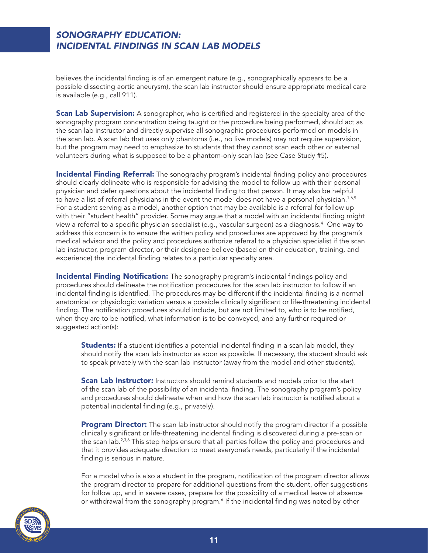believes the incidental finding is of an emergent nature (e.g., sonographically appears to be a possible dissecting aortic aneurysm), the scan lab instructor should ensure appropriate medical care is available (e.g., call 911).

**Scan Lab Supervision:** A sonographer, who is certified and registered in the specialty area of the sonography program concentration being taught or the procedure being performed, should act as the scan lab instructor and directly supervise all sonographic procedures performed on models in the scan lab. A scan lab that uses only phantoms (i.e., no live models) may not require supervision, but the program may need to emphasize to students that they cannot scan each other or external volunteers during what is supposed to be a phantom-only scan lab (see Case Study #5).

**Incidental Finding Referral:** The sonography program's incidental finding policy and procedures should clearly delineate who is responsible for advising the model to follow up with their personal physician and defer questions about the incidental finding to that person. It may also be helpful to have a list of referral physicians in the event the model does not have a personal physician.<sup>1-6,9</sup> For a student serving as a model, another option that may be available is a referral for follow up with their "student health" provider. Some may argue that a model with an incidental finding might view a referral to a specific physician specialist (e.g., vascular surgeon) as a diagnosis.4 One way to address this concern is to ensure the written policy and procedures are approved by the program's medical advisor and the policy and procedures authorize referral to a physician specialist if the scan lab instructor, program director, or their designee believe (based on their education, training, and experience) the incidental finding relates to a particular specialty area.

**Incidental Finding Notification:** The sonography program's incidental findings policy and procedures should delineate the notification procedures for the scan lab instructor to follow if an incidental finding is identified. The procedures may be different if the incidental finding is a normal anatomical or physiologic variation versus a possible clinically significant or life-threatening incidental finding. The notification procedures should include, but are not limited to, who is to be notified, when they are to be notified, what information is to be conveyed, and any further required or suggested action(s):

**Students:** If a student identifies a potential incidental finding in a scan lab model, they should notify the scan lab instructor as soon as possible. If necessary, the student should ask to speak privately with the scan lab instructor (away from the model and other students).

**Scan Lab Instructor:** Instructors should remind students and models prior to the start of the scan lab of the possibility of an incidental finding. The sonography program's policy and procedures should delineate when and how the scan lab instructor is notified about a potential incidental finding (e.g., privately).

**Program Director:** The scan lab instructor should notify the program director if a possible clinically significant or life-threatening incidental finding is discovered during a pre-scan or the scan lab.<sup>2,3,6</sup> This step helps ensure that all parties follow the policy and procedures and that it provides adequate direction to meet everyone's needs, particularly if the incidental finding is serious in nature.

For a model who is also a student in the program, notification of the program director allows the program director to prepare for additional questions from the student, offer suggestions for follow up, and in severe cases, prepare for the possibility of a medical leave of absence or withdrawal from the sonography program.6 If the incidental finding was noted by other

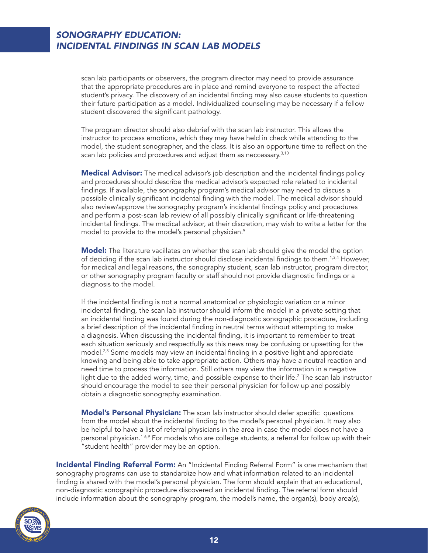scan lab participants or observers, the program director may need to provide assurance that the appropriate procedures are in place and remind everyone to respect the affected student's privacy. The discovery of an incidental finding may also cause students to question their future participation as a model. Individualized counseling may be necessary if a fellow student discovered the significant pathology.

The program director should also debrief with the scan lab instructor. This allows the instructor to process emotions, which they may have held in check while attending to the model, the student sonographer, and the class. It is also an opportune time to reflect on the scan lab policies and procedures and adjust them as neccessary.<sup>3,10</sup>

**Medical Advisor:** The medical advisor's job description and the incidental findings policy and procedures should describe the medical advisor's expected role related to incidental findings. If available, the sonography program's medical advisor may need to discuss a possible clinically significant incidental finding with the model. The medical advisor should also review/approve the sonography program's incidental findings policy and procedures and perform a post-scan lab review of all possibly clinically significant or life-threatening incidental findings. The medical advisor, at their discretion, may wish to write a letter for the model to provide to the model's personal physician.<sup>9</sup>

**Model:** The literature vacillates on whether the scan lab should give the model the option of deciding if the scan lab instructor should disclose incidental findings to them.<sup>1,3,4</sup> However, for medical and legal reasons, the sonography student, scan lab instructor, program director, or other sonography program faculty or staff should not provide diagnostic findings or a diagnosis to the model.

If the incidental finding is not a normal anatomical or physiologic variation or a minor incidental finding, the scan lab instructor should inform the model in a private setting that an incidental finding was found during the non-diagnostic sonographic procedure, including a brief description of the incidental finding in neutral terms without attempting to make a diagnosis. When discussing the incidental finding, it is important to remember to treat each situation seriously and respectfully as this news may be confusing or upsetting for the model.<sup>2,3</sup> Some models may view an incidental finding in a positive light and appreciate knowing and being able to take appropriate action. Others may have a neutral reaction and need time to process the information. Still others may view the information in a negative light due to the added worry, time, and possible expense to their life. $^2$  The scan lab instructor should encourage the model to see their personal physician for follow up and possibly obtain a diagnostic sonography examination.

**Model's Personal Physician:** The scan lab instructor should defer specific questions from the model about the incidental finding to the model's personal physician. It may also be helpful to have a list of referral physicians in the area in case the model does not have a personal physician.<sup>1-6,9</sup> For models who are college students, a referral for follow up with their "student health" provider may be an option.

**Incidental Finding Referral Form:** An "Incidental Finding Referral Form" is one mechanism that sonography programs can use to standardize how and what information related to an incidental finding is shared with the model's personal physician. The form should explain that an educational, non-diagnostic sonographic procedure discovered an incidental finding. The referral form should include information about the sonography program, the model's name, the organ(s), body area(s),

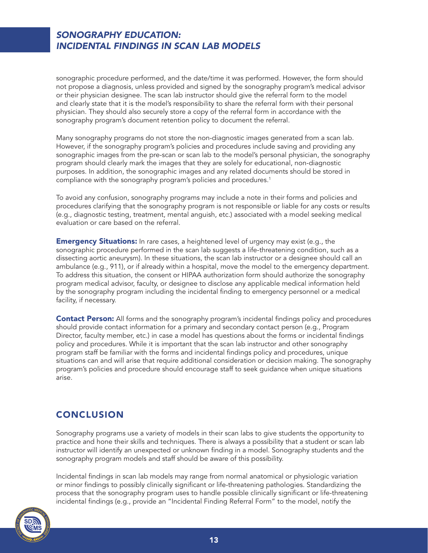sonographic procedure performed, and the date/time it was performed. However, the form should not propose a diagnosis, unless provided and signed by the sonography program's medical advisor or their physician designee. The scan lab instructor should give the referral form to the model and clearly state that it is the model's responsibility to share the referral form with their personal physician. They should also securely store a copy of the referral form in accordance with the sonography program's document retention policy to document the referral.

Many sonography programs do not store the non-diagnostic images generated from a scan lab. However, if the sonography program's policies and procedures include saving and providing any sonographic images from the pre-scan or scan lab to the model's personal physician, the sonography program should clearly mark the images that they are solely for educational, non-diagnostic purposes. In addition, the sonographic images and any related documents should be stored in compliance with the sonography program's policies and procedures.<sup>1</sup>

To avoid any confusion, sonography programs may include a note in their forms and policies and procedures clarifying that the sonography program is not responsible or liable for any costs or results (e.g., diagnostic testing, treatment, mental anguish, etc.) associated with a model seeking medical evaluation or care based on the referral.

**Emergency Situations:** In rare cases, a heightened level of urgency may exist (e.g., the sonographic procedure performed in the scan lab suggests a life-threatening condition, such as a dissecting aortic aneurysm). In these situations, the scan lab instructor or a designee should call an ambulance (e.g., 911), or if already within a hospital, move the model to the emergency department. To address this situation, the consent or HIPAA authorization form should authorize the sonography program medical advisor, faculty, or designee to disclose any applicable medical information held by the sonography program including the incidental finding to emergency personnel or a medical facility, if necessary.

**Contact Person:** All forms and the sonography program's incidental findings policy and procedures should provide contact information for a primary and secondary contact person (e.g., Program Director, faculty member, etc.) in case a model has questions about the forms or incidental findings policy and procedures. While it is important that the scan lab instructor and other sonography program staff be familiar with the forms and incidental findings policy and procedures, unique situations can and will arise that require additional consideration or decision making. The sonography program's policies and procedure should encourage staff to seek guidance when unique situations arise.

# **CONCLUSION**

Sonography programs use a variety of models in their scan labs to give students the opportunity to practice and hone their skills and techniques. There is always a possibility that a student or scan lab instructor will identify an unexpected or unknown finding in a model. Sonography students and the sonography program models and staff should be aware of this possibility.

Incidental findings in scan lab models may range from normal anatomical or physiologic variation or minor findings to possibly clinically significant or life-threatening pathologies. Standardizing the process that the sonography program uses to handle possible clinically significant or life-threatening incidental findings (e.g., provide an "Incidental Finding Referral Form" to the model, notify the

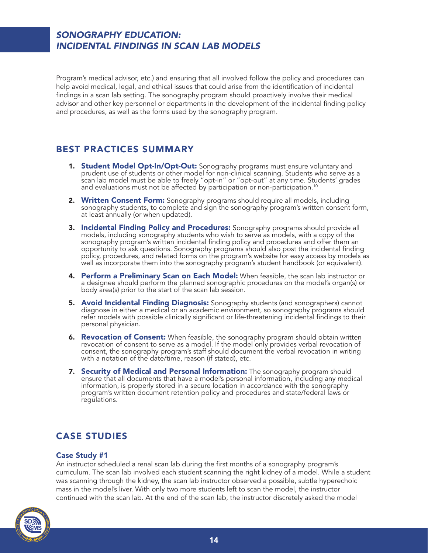Program's medical advisor, etc.) and ensuring that all involved follow the policy and procedures can help avoid medical, legal, and ethical issues that could arise from the identification of incidental findings in a scan lab setting. The sonography program should proactively involve their medical advisor and other key personnel or departments in the development of the incidental finding policy and procedures, as well as the forms used by the sonography program.

#### BEST PRACTICES SUMMARY

- **1. Student Model Opt-In/Opt-Out:** Sonography programs must ensure voluntary and prudent use of students or other model for non-clinical scanning. Students who serve as a scan lab model must be able to freely "opt-in" or "opt-out" at any time. Students' grades and evaluations must not be affected by participation or non-participation. $^{\rm 10}$
- **2. Written Consent Form:** Sonography programs should require all models, including sonography students, to complete and sign the sonography program's written consent form, at least annually (or when updated).
- **3. Incidental Finding Policy and Procedures:** Sonography programs should provide all models, including sonography students who wish to serve as models, with a copy of the sonography program's written incidental finding policy and procedures and offer them an opportunity to ask questions. Sonography programs should also post the incidental finding policy, procedures, and related forms on the program's website for easy access by models as well as incorporate them into the sonography program's student handbook (or equivalent).
- 4. Perform a Preliminary Scan on Each Model: When feasible, the scan lab instructor or a designee should perform the planned sonographic procedures on the model's organ(s) or body area(s) prior to the start of the scan lab session.
- **5. Avoid Incidental Finding Diagnosis:** Sonography students (and sonographers) cannot diagnose in either a medical or an academic environment, so sonography programs should refer models with possible clinically significant or life-threatening incidental findings to their personal physician.
- **6. Revocation of Consent:** When feasible, the sonography program should obtain written revocation of consent to serve as a model. If the model only provides verbal revocation of consent, the sonography program's staff should document the verbal revocation in writing with a notation of the date/time, reason (if stated), etc.
- **7. Security of Medical and Personal Information:** The sonography program should ensure that all documents that have a model's personal information, including any medical information, is properly stored in a secure location in accordance with the sonography program's written document retention policy and procedures and state/federal laws or regulations.

# CASE STUDIES

#### Case Study #1

An instructor scheduled a renal scan lab during the first months of a sonography program's curriculum. The scan lab involved each student scanning the right kidney of a model. While a student was scanning through the kidney, the scan lab instructor observed a possible, subtle hyperechoic mass in the model's liver. With only two more students left to scan the model, the instructor continued with the scan lab. At the end of the scan lab, the instructor discretely asked the model

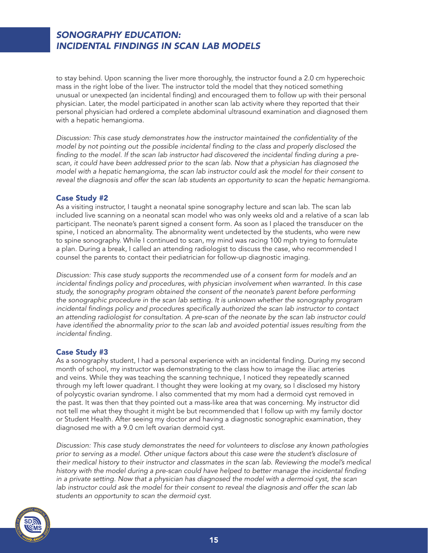to stay behind. Upon scanning the liver more thoroughly, the instructor found a 2.0 cm hyperechoic mass in the right lobe of the liver. The instructor told the model that they noticed something unusual or unexpected (an incidental finding) and encouraged them to follow up with their personal physician. Later, the model participated in another scan lab activity where they reported that their personal physician had ordered a complete abdominal ultrasound examination and diagnosed them with a hepatic hemangioma.

*Discussion: This case study demonstrates how the instructor maintained the confidentiality of the model by not pointing out the possible incidental finding to the class and properly disclosed the finding to the model. If the scan lab instructor had discovered the incidental finding during a prescan, it could have been addressed prior to the scan lab. Now that a physician has diagnosed the model with a hepatic hemangioma, the scan lab instructor could ask the model for their consent to reveal the diagnosis and offer the scan lab students an opportunity to scan the hepatic hemangioma.*

#### Case Study #2

As a visiting instructor, I taught a neonatal spine sonography lecture and scan lab. The scan lab included live scanning on a neonatal scan model who was only weeks old and a relative of a scan lab participant. The neonate's parent signed a consent form. As soon as I placed the transducer on the spine, I noticed an abnormality. The abnormality went undetected by the students, who were new to spine sonography. While I continued to scan, my mind was racing 100 mph trying to formulate a plan. During a break, I called an attending radiologist to discuss the case, who recommended I counsel the parents to contact their pediatrician for follow-up diagnostic imaging.

*Discussion: This case study supports the recommended use of a consent form for models and an incidental findings policy and procedures, with physician involvement when warranted. In this case study, the sonography program obtained the consent of the neonate's parent before performing the sonographic procedure in the scan lab setting. It is unknown whether the sonography program incidental findings policy and procedures specifically authorized the scan lab instructor to contact an attending radiologist for consultation. A pre-scan of the neonate by the scan lab instructor could have identified the abnormality prior to the scan lab and avoided potential issues resulting from the incidental finding.*

#### Case Study #3

As a sonography student, I had a personal experience with an incidental finding. During my second month of school, my instructor was demonstrating to the class how to image the iliac arteries and veins. While they was teaching the scanning technique, I noticed they repeatedly scanned through my left lower quadrant. I thought they were looking at my ovary, so I disclosed my history of polycystic ovarian syndrome. I also commented that my mom had a dermoid cyst removed in the past. It was then that they pointed out a mass-like area that was concerning. My instructor did not tell me what they thought it might be but recommended that I follow up with my family doctor or Student Health. After seeing my doctor and having a diagnostic sonographic examination, they diagnosed me with a 9.0 cm left ovarian dermoid cyst.

*Discussion: This case study demonstrates the need for volunteers to disclose any known pathologies prior to serving as a model. Other unique factors about this case were the student's disclosure of their medical history to their instructor and classmates in the scan lab. Reviewing the model's medical history with the model during a pre-scan could have helped to better manage the incidental finding in a private setting. Now that a physician has diagnosed the model with a dermoid cyst, the scan* lab instructor could ask the model for their consent to reveal the diagnosis and offer the scan lab *students an opportunity to scan the dermoid cyst.*

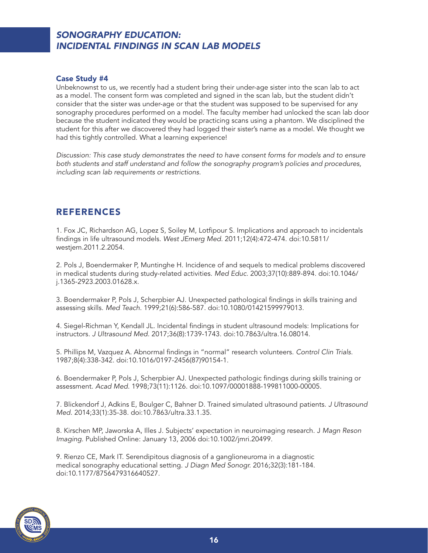#### Case Study #4

Unbeknownst to us, we recently had a student bring their under-age sister into the scan lab to act as a model. The consent form was completed and signed in the scan lab, but the student didn't consider that the sister was under-age or that the student was supposed to be supervised for any sonography procedures performed on a model. The faculty member had unlocked the scan lab door because the student indicated they would be practicing scans using a phantom. We disciplined the student for this after we discovered they had logged their sister's name as a model. We thought we had this tightly controlled. What a learning experience!

*Discussion: This case study demonstrates the need to have consent forms for models and to ensure both students and staff understand and follow the sonography program's policies and procedures, including scan lab requirements or restrictions.*

## REFERENCES

1. Fox JC, Richardson AG, Lopez S, Soiley M, Lotfipour S. Implications and approach to incidentals findings in life ultrasound models. *West JEmerg Med.* 2011;12(4):472-474. doi:10.5811/ westjem.2011.2.2054.

2. Pols J, Boendermaker P, Muntinghe H. Incidence of and sequels to medical problems discovered in medical students during study-related activities. *Med Educ.* 2003;37(10):889-894. doi:10.1046/ j.1365-2923.2003.01628.x.

3. Boendermaker P, Pols J, Scherpbier AJ. Unexpected pathological findings in skills training and assessing skills. *Med Teach.* 1999;21(6):586-587. doi:10.1080/01421599979013.

4. Siegel-Richman Y, Kendall JL. Incidental findings in student ultrasound models: Implications for instructors. *J Ultrasound Med.* 2017;36(8):1739-1743. doi:10.7863/ultra.16.08014.

5. Phillips M, Vazquez A. Abnormal findings in "normal" research volunteers. *Control Clin Trials.* 1987;8(4):338-342. doi:10.1016/0197-2456(87)90154-1.

6. Boendermaker P, Pols J, Scherpbier AJ. Unexpected pathologic findings during skills training or assessment. *Acad Med.* 1998;73(11):1126. doi:10.1097/00001888-199811000-00005.

7. Blickendorf J, Adkins E, Boulger C, Bahner D. Trained simulated ultrasound patients. *J Ultrasound Med.* 2014;33(1):35-38. doi:10.7863/ultra.33.1.35.

8. Kirschen MP, Jaworska A, Illes J. Subjects' expectation in neuroimaging research. J *Magn Reson Imaging.* Published Online: January 13, 2006 doi:10.1002/jmri.20499.

9. Rienzo CE, Mark IT. Serendipitous diagnosis of a ganglioneuroma in a diagnostic medical sonography educational setting. *J Diagn Med Sonogr.* 2016;32(3):181-184. doi:10.1177/8756479316640527.

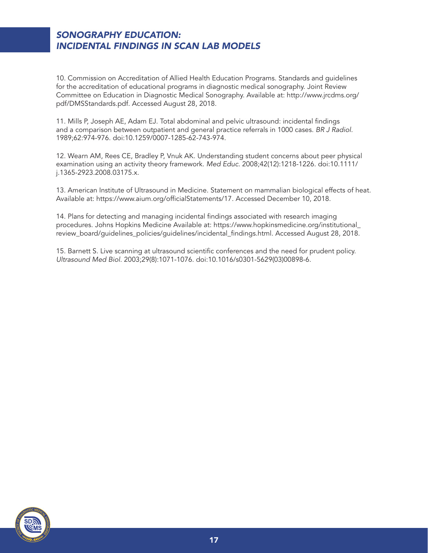10. Commission on Accreditation of Allied Health Education Programs. Standards and guidelines for the accreditation of educational programs in diagnostic medical sonography. Joint Review Committee on Education in Diagnostic Medical Sonography. Available at: http://www.jrcdms.org/ pdf/DMSStandards.pdf. Accessed August 28, 2018.

11. Mills P, Joseph AE, Adam EJ. Total abdominal and pelvic ultrasound: incidental findings and a comparison between outpatient and general practice referrals in 1000 cases. *BR J Radiol.* 1989;62:974-976. doi:10.1259/0007-1285-62-743-974.

12. Wearn AM, Rees CE, Bradley P, Vnuk AK. Understanding student concerns about peer physical examination using an activity theory framework. *Med Educ.* 2008;42(12):1218-1226. doi:10.1111/ j.1365-2923.2008.03175.x.

13. American Institute of Ultrasound in Medicine. Statement on mammalian biological effects of heat. Available at: https://www.aium.org/officialStatements/17. Accessed December 10, 2018.

14. Plans for detecting and managing incidental findings associated with research imaging procedures. Johns Hopkins Medicine Available at: https://www.hopkinsmedicine.org/institutional\_ review\_board/guidelines\_policies/guidelines/incidental\_findings.html. Accessed August 28, 2018.

15. Barnett S. Live scanning at ultrasound scientific conferences and the need for prudent policy. *Ultrasound Med Biol.* 2003;29(8):1071-1076. doi:10.1016/s0301-5629(03)00898-6.